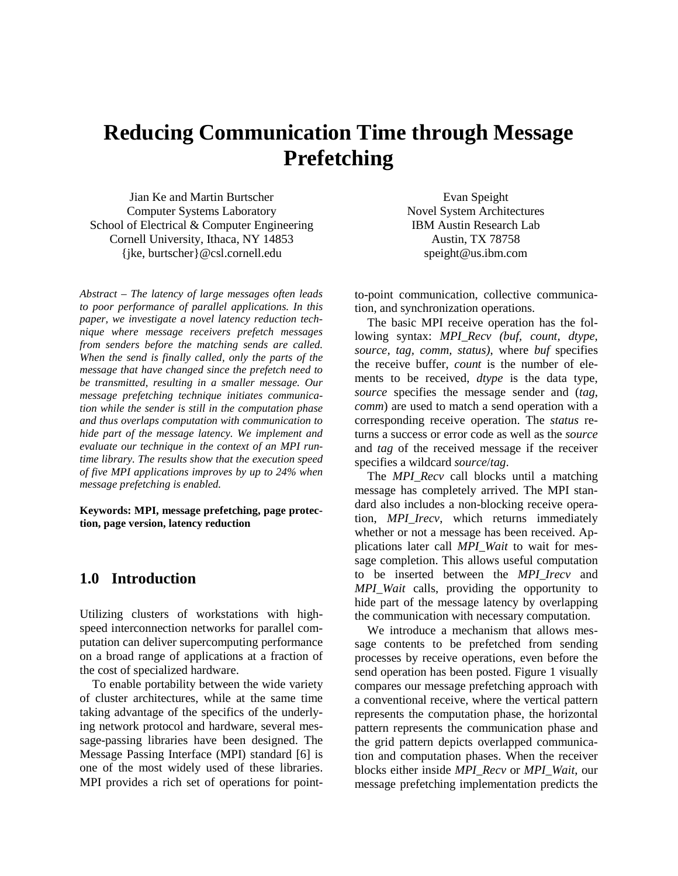# **Reducing Communication Time through Message Prefetching**

Jian Ke and Martin Burtscher Computer Systems Laboratory School of Electrical & Computer Engineering Cornell University, Ithaca, NY 14853 {jke, burtscher}@csl.cornell.edu

*Abstract – The latency of large messages often leads to poor performance of parallel applications. In this paper, we investigate a novel latency reduction technique where message receivers prefetch messages from senders before the matching sends are called. When the send is finally called, only the parts of the message that have changed since the prefetch need to be transmitted, resulting in a smaller message. Our message prefetching technique initiates communication while the sender is still in the computation phase and thus overlaps computation with communication to hide part of the message latency. We implement and evaluate our technique in the context of an MPI runtime library. The results show that the execution speed of five MPI applications improves by up to 24% when message prefetching is enabled.*

**Keywords: MPI, message prefetching, page protection, page version, latency reduction**

## **1.0 Introduction**

Utilizing clusters of workstations with highspeed interconnection networks for parallel computation can deliver supercomputing performance on a broad range of applications at a fraction of the cost of specialized hardware.

To enable portability between the wide variety of cluster architectures, while at the same time taking advantage of the specifics of the underlying network protocol and hardware, several message-passing libraries have been designed. The Message Passing Interface (MPI) standard [6] is one of the most widely used of these libraries. MPI provides a rich set of operations for point-

Evan Speight Novel System Architectures IBM Austin Research Lab Austin, TX 78758 speight@us.ibm.com

to-point communication, collective communication, and synchronization operations.

The basic MPI receive operation has the following syntax: *MPI\_Recv (buf, count, dtype, source, tag, comm, status)*, where *buf* specifies the receive buffer, *count* is the number of elements to be received, *dtype* is the data type, *source* specifies the message sender and (*tag*, *comm*) are used to match a send operation with a corresponding receive operation. The *status* returns a success or error code as well as the *source* and *tag* of the received message if the receiver specifies a wildcard *source*/*tag*.

The *MPI Recv* call blocks until a matching message has completely arrived. The MPI standard also includes a non-blocking receive operation, *MPI\_Irecv*, which returns immediately whether or not a message has been received. Applications later call *MPI\_Wait* to wait for message completion. This allows useful computation to be inserted between the *MPI\_Irecv* and *MPI\_Wait* calls, providing the opportunity to hide part of the message latency by overlapping the communication with necessary computation.

We introduce a mechanism that allows message contents to be prefetched from sending processes by receive operations, even before the send operation has been posted. Figure 1 visually compares our message prefetching approach with a conventional receive, where the vertical pattern represents the computation phase, the horizontal pattern represents the communication phase and the grid pattern depicts overlapped communication and computation phases. When the receiver blocks either inside *MPI\_Recv* or *MPI\_Wait*, our message prefetching implementation predicts the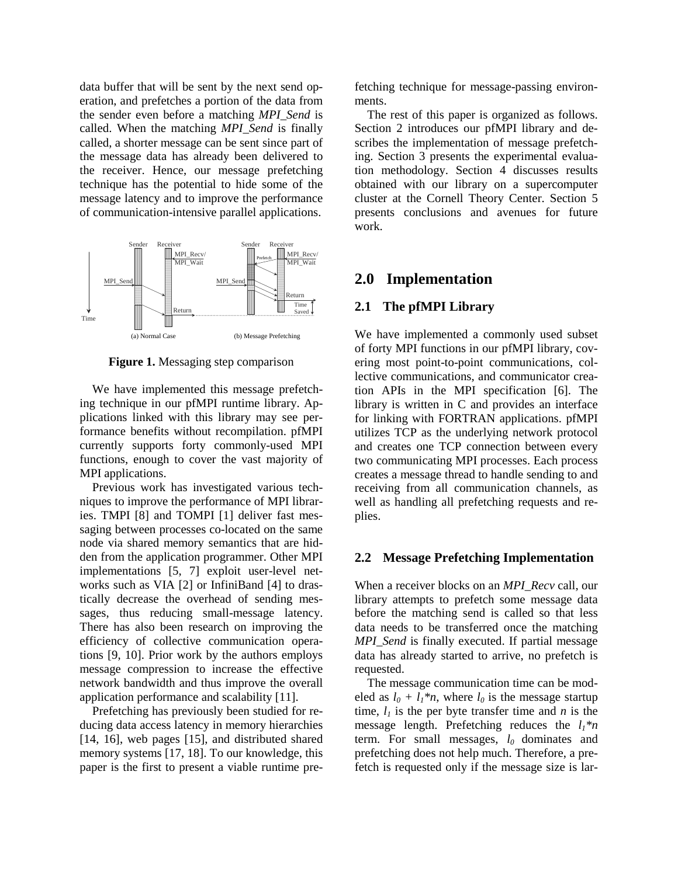data buffer that will be sent by the next send operation, and prefetches a portion of the data from the sender even before a matching *MPI\_Send* is called. When the matching *MPI\_Send* is finally called, a shorter message can be sent since part of the message data has already been delivered to the receiver. Hence, our message prefetching technique has the potential to hide some of the message latency and to improve the performance of communication-intensive parallel applications.



**Figure 1.** Messaging step comparison

We have implemented this message prefetching technique in our pfMPI runtime library. Applications linked with this library may see performance benefits without recompilation. pfMPI currently supports forty commonly-used MPI functions, enough to cover the vast majority of MPI applications.

Previous work has investigated various techniques to improve the performance of MPI libraries. TMPI [8] and TOMPI [1] deliver fast messaging between processes co-located on the same node via shared memory semantics that are hidden from the application programmer. Other MPI implementations [5, 7] exploit user-level networks such as VIA [2] or InfiniBand [4] to drastically decrease the overhead of sending messages, thus reducing small-message latency. There has also been research on improving the efficiency of collective communication operations [9, 10]. Prior work by the authors employs message compression to increase the effective network bandwidth and thus improve the overall application performance and scalability [11].

Prefetching has previously been studied for reducing data access latency in memory hierarchies [14, 16], web pages [15], and distributed shared memory systems [17, 18]. To our knowledge, this paper is the first to present a viable runtime prefetching technique for message-passing environments.

The rest of this paper is organized as follows. Section 2 introduces our pfMPI library and describes the implementation of message prefetching. Section 3 presents the experimental evaluation methodology. Section 4 discusses results obtained with our library on a supercomputer cluster at the Cornell Theory Center. Section 5 presents conclusions and avenues for future work.

## **2.0 Implementation**

#### **2.1 The pfMPI Library**

We have implemented a commonly used subset of forty MPI functions in our pfMPI library, covering most point-to-point communications, collective communications, and communicator creation APIs in the MPI specification [6]. The library is written in C and provides an interface for linking with FORTRAN applications. pfMPI utilizes TCP as the underlying network protocol and creates one TCP connection between every two communicating MPI processes. Each process creates a message thread to handle sending to and receiving from all communication channels, as well as handling all prefetching requests and replies.

#### **2.2 Message Prefetching Implementation**

When a receiver blocks on an *MPI\_Recv* call, our library attempts to prefetch some message data before the matching send is called so that less data needs to be transferred once the matching *MPI* Send is finally executed. If partial message data has already started to arrive, no prefetch is requested.

The message communication time can be modeled as  $l_0 + l_1 * n$ , where  $l_0$  is the message startup time,  $l_i$  is the per byte transfer time and *n* is the message length. Prefetching reduces the *l1\*n* term. For small messages, *l<sup>0</sup>* dominates and prefetching does not help much. Therefore, a prefetch is requested only if the message size is lar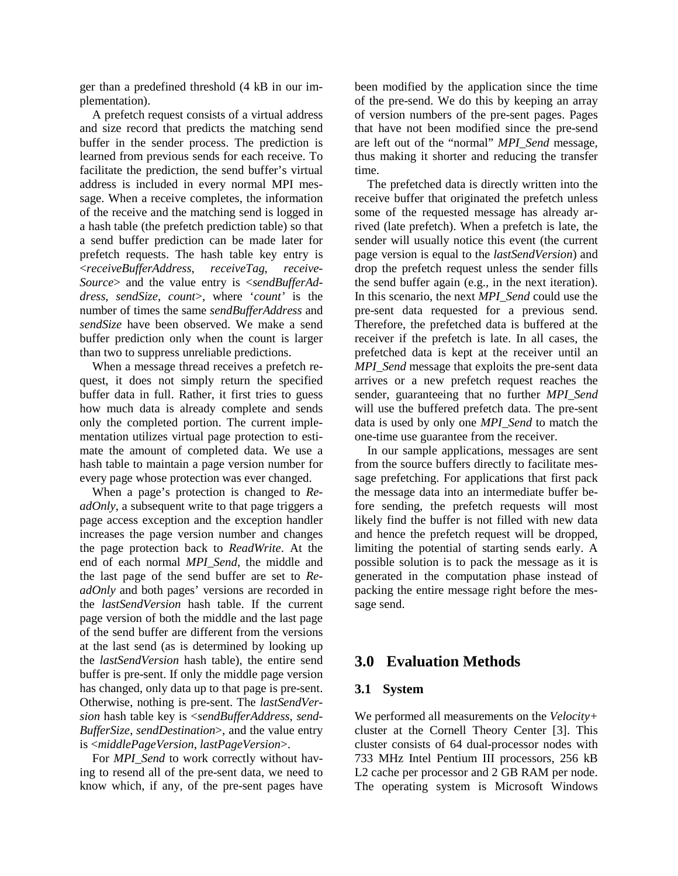ger than a predefined threshold (4 kB in our implementation).

A prefetch request consists of a virtual address and size record that predicts the matching send buffer in the sender process. The prediction is learned from previous sends for each receive. To facilitate the prediction, the send buffer's virtual address is included in every normal MPI message. When a receive completes, the information of the receive and the matching send is logged in a hash table (the prefetch prediction table) so that a send buffer prediction can be made later for prefetch requests. The hash table key entry is <*receiveBufferAddress*, *receiveTag*, *receive-Source*> and the value entry is <*sendBufferAddress*, *sendSize*, *count*>, where '*count'* is the number of times the same *sendBufferAddress* and *sendSize* have been observed. We make a send buffer prediction only when the count is larger than two to suppress unreliable predictions.

When a message thread receives a prefetch request, it does not simply return the specified buffer data in full. Rather, it first tries to guess how much data is already complete and sends only the completed portion. The current implementation utilizes virtual page protection to estimate the amount of completed data. We use a hash table to maintain a page version number for every page whose protection was ever changed.

When a page's protection is changed to *ReadOnly*, a subsequent write to that page triggers a page access exception and the exception handler increases the page version number and changes the page protection back to *ReadWrite*. At the end of each normal *MPI\_Send*, the middle and the last page of the send buffer are set to *ReadOnly* and both pages' versions are recorded in the *lastSendVersion* hash table. If the current page version of both the middle and the last page of the send buffer are different from the versions at the last send (as is determined by looking up the *lastSendVersion* hash table), the entire send buffer is pre-sent. If only the middle page version has changed, only data up to that page is pre-sent. Otherwise, nothing is pre-sent. The *lastSendVersion* hash table key is <*sendBufferAddress*, *send-BufferSize*, *sendDestination*>, and the value entry is <*middlePageVersion*, *lastPageVersion*>.

For *MPI* Send to work correctly without having to resend all of the pre-sent data, we need to know which, if any, of the pre-sent pages have

been modified by the application since the time of the pre-send. We do this by keeping an array of version numbers of the pre-sent pages. Pages that have not been modified since the pre-send are left out of the "normal" *MPI\_Send* message, thus making it shorter and reducing the transfer time.

The prefetched data is directly written into the receive buffer that originated the prefetch unless some of the requested message has already arrived (late prefetch). When a prefetch is late, the sender will usually notice this event (the current page version is equal to the *lastSendVersion*) and drop the prefetch request unless the sender fills the send buffer again (e.g., in the next iteration). In this scenario, the next *MPI\_Send* could use the pre-sent data requested for a previous send. Therefore, the prefetched data is buffered at the receiver if the prefetch is late. In all cases, the prefetched data is kept at the receiver until an *MPI* Send message that exploits the pre-sent data arrives or a new prefetch request reaches the sender, guaranteeing that no further *MPI\_Send* will use the buffered prefetch data. The pre-sent data is used by only one *MPI\_Send* to match the one-time use guarantee from the receiver.

In our sample applications, messages are sent from the source buffers directly to facilitate message prefetching. For applications that first pack the message data into an intermediate buffer before sending, the prefetch requests will most likely find the buffer is not filled with new data and hence the prefetch request will be dropped, limiting the potential of starting sends early. A possible solution is to pack the message as it is generated in the computation phase instead of packing the entire message right before the message send.

## **3.0 Evaluation Methods**

### **3.1 System**

We performed all measurements on the *Velocity+* cluster at the Cornell Theory Center [3]. This cluster consists of 64 dual-processor nodes with 733 MHz Intel Pentium III processors, 256 kB L2 cache per processor and 2 GB RAM per node. The operating system is Microsoft Windows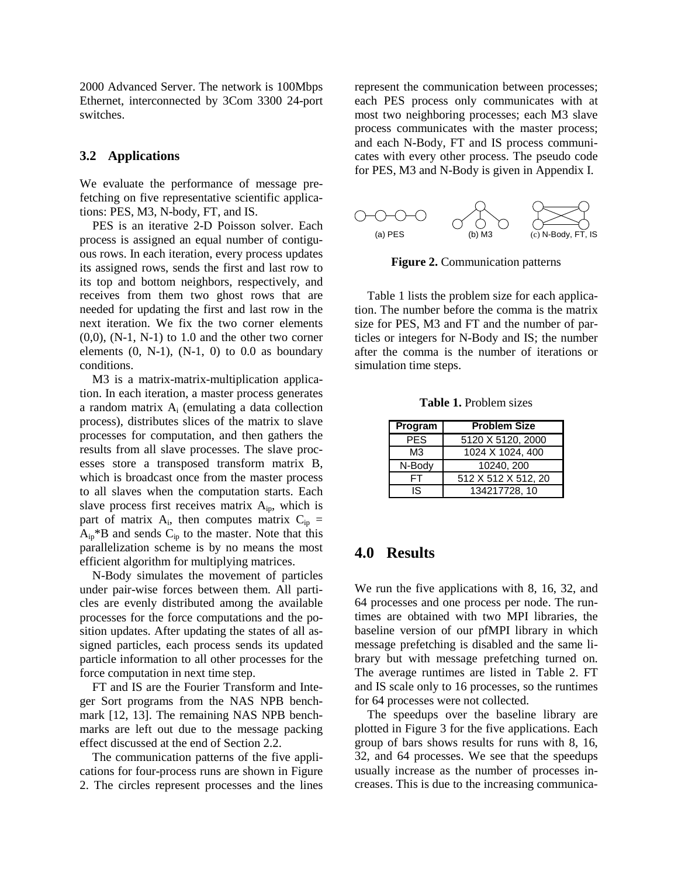2000 Advanced Server. The network is 100Mbps Ethernet, interconnected by 3Com 3300 24-port switches.

#### **3.2 Applications**

We evaluate the performance of message prefetching on five representative scientific applications: PES, M3, N-body, FT, and IS.

PES is an iterative 2-D Poisson solver. Each process is assigned an equal number of contiguous rows. In each iteration, every process updates its assigned rows, sends the first and last row to its top and bottom neighbors, respectively, and receives from them two ghost rows that are needed for updating the first and last row in the next iteration. We fix the two corner elements  $(0,0)$ ,  $(N-1, N-1)$  to 1.0 and the other two corner elements  $(0, N-1)$ ,  $(N-1, 0)$  to  $0.0$  as boundary conditions.

M3 is a matrix-matrix-multiplication application. In each iteration, a master process generates a random matrix  $A_i$  (emulating a data collection process), distributes slices of the matrix to slave processes for computation, and then gathers the results from all slave processes. The slave processes store a transposed transform matrix B, which is broadcast once from the master process to all slaves when the computation starts. Each slave process first receives matrix  $A_{in}$ , which is part of matrix  $A_i$ , then computes matrix  $C_{ip}$  =  $A_{ip}$ <sup>\*</sup>B and sends  $C_{ip}$  to the master. Note that this parallelization scheme is by no means the most efficient algorithm for multiplying matrices.

N-Body simulates the movement of particles under pair-wise forces between them. All particles are evenly distributed among the available processes for the force computations and the position updates. After updating the states of all assigned particles, each process sends its updated particle information to all other processes for the force computation in next time step.

FT and IS are the Fourier Transform and Integer Sort programs from the NAS NPB benchmark [12, 13]. The remaining NAS NPB benchmarks are left out due to the message packing effect discussed at the end of Section 2.2.

The communication patterns of the five applications for four-process runs are shown in Figure 2. The circles represent processes and the lines represent the communication between processes; each PES process only communicates with at most two neighboring processes; each M3 slave process communicates with the master process; and each N-Body, FT and IS process communicates with every other process. The pseudo code for PES, M3 and N-Body is given in Appendix I.



**Figure 2.** Communication patterns

Table 1 lists the problem size for each application. The number before the comma is the matrix size for PES, M3 and FT and the number of particles or integers for N-Body and IS; the number after the comma is the number of iterations or simulation time steps.

**Table 1.** Problem sizes

| Program | <b>Problem Size</b> |  |  |  |
|---------|---------------------|--|--|--|
| PES     | 5120 X 5120, 2000   |  |  |  |
| MЗ      | 1024 X 1024, 400    |  |  |  |
| N-Body  | 10240, 200          |  |  |  |
| ΕL      | 512 X 512 X 512, 20 |  |  |  |
| IS      | 134217728, 10       |  |  |  |

## **4.0 Results**

We run the five applications with 8, 16, 32, and 64 processes and one process per node. The runtimes are obtained with two MPI libraries, the baseline version of our pfMPI library in which message prefetching is disabled and the same library but with message prefetching turned on. The average runtimes are listed in Table 2. FT and IS scale only to 16 processes, so the runtimes for 64 processes were not collected.

The speedups over the baseline library are plotted in Figure 3 for the five applications. Each group of bars shows results for runs with 8, 16, 32, and 64 processes. We see that the speedups usually increase as the number of processes increases. This is due to the increasing communica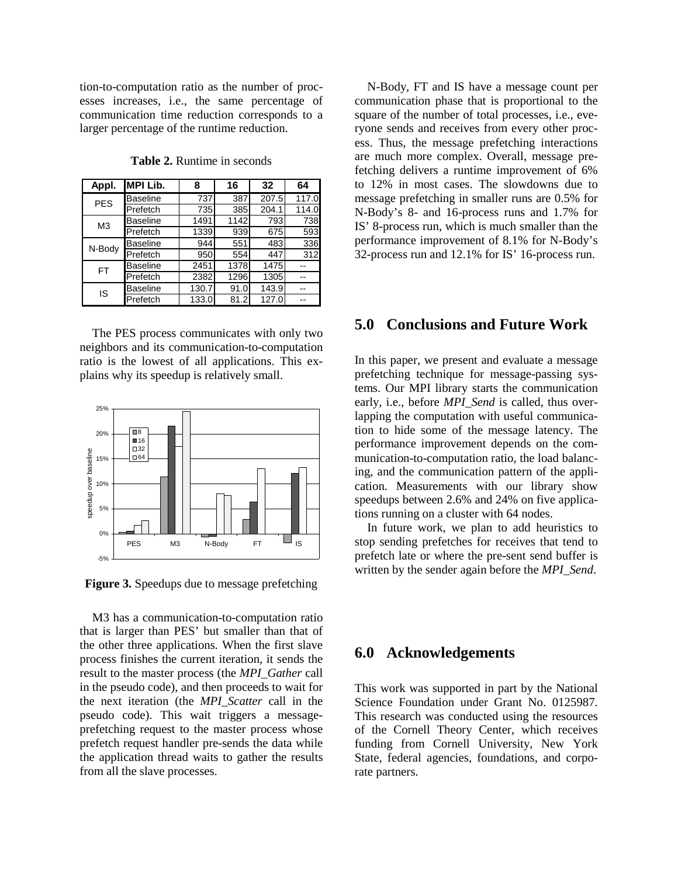tion-to-computation ratio as the number of processes increases, i.e., the same percentage of communication time reduction corresponds to a larger percentage of the runtime reduction.

| Appl.          | MPI Lib.        | 8     | 16   | 32    | 64    |
|----------------|-----------------|-------|------|-------|-------|
| <b>PES</b>     | <b>Baseline</b> | 737   | 387  | 207.5 | 117.0 |
|                | Prefetch        | 735   | 385  | 204.1 | 114.0 |
| M <sub>3</sub> | <b>Baseline</b> | 1491  | 1142 | 793   | 738   |
|                | Prefetch        | 1339  | 939  | 675   | 593   |
| N-Body         | <b>Baseline</b> | 944   | 551  | 483   | 336   |
|                | Prefetch        | 950   | 554  | 447   | 312   |
| FT             | <b>Baseline</b> | 2451  | 1378 | 1475  |       |
|                | Prefetch        | 2382  | 1296 | 1305  |       |
| IS             | <b>Baseline</b> | 130.7 | 91.0 | 143.9 |       |
|                | Prefetch        | 133.0 | 81.2 | 127.0 |       |

**Table 2.** Runtime in seconds

The PES process communicates with only two neighbors and its communication-to-computation ratio is the lowest of all applications. This explains why its speedup is relatively small.



**Figure 3.** Speedups due to message prefetching

M3 has a communication-to-computation ratio that is larger than PES' but smaller than that of the other three applications. When the first slave process finishes the current iteration, it sends the result to the master process (the *MPI\_Gather* call in the pseudo code), and then proceeds to wait for the next iteration (the *MPI\_Scatter* call in the pseudo code). This wait triggers a messageprefetching request to the master process whose prefetch request handler pre-sends the data while the application thread waits to gather the results from all the slave processes.

N-Body, FT and IS have a message count per communication phase that is proportional to the square of the number of total processes, i.e., everyone sends and receives from every other process. Thus, the message prefetching interactions are much more complex. Overall, message prefetching delivers a runtime improvement of 6% to 12% in most cases. The slowdowns due to message prefetching in smaller runs are 0.5% for N-Body's 8- and 16-process runs and 1.7% for IS' 8-process run, which is much smaller than the performance improvement of 8.1% for N-Body's 32-process run and 12.1% for IS' 16-process run.

## **5.0 Conclusions and Future Work**

In this paper, we present and evaluate a message prefetching technique for message-passing systems. Our MPI library starts the communication early, i.e., before *MPI\_Send* is called, thus overlapping the computation with useful communication to hide some of the message latency. The performance improvement depends on the communication-to-computation ratio, the load balancing, and the communication pattern of the application. Measurements with our library show speedups between 2.6% and 24% on five applications running on a cluster with 64 nodes.

In future work, we plan to add heuristics to stop sending prefetches for receives that tend to prefetch late or where the pre-sent send buffer is written by the sender again before the *MPI\_Send*.

## **6.0 Acknowledgements**

This work was supported in part by the National Science Foundation under Grant No. 0125987. This research was conducted using the resources of the Cornell Theory Center, which receives funding from Cornell University, New York State, federal agencies, foundations, and corporate partners.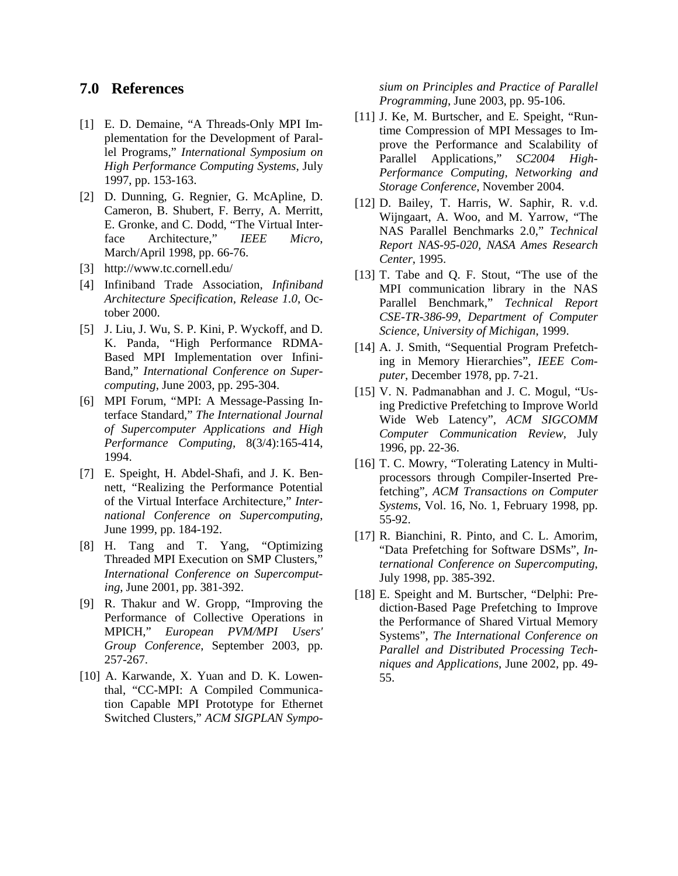## **7.0 References**

- [1] E. D. Demaine, "A Threads-Only MPI Implementation for the Development of Parallel Programs," *International Symposium on High Performance Computing Systems*, July 1997, pp. 153-163.
- [2] D. Dunning, G. Regnier, G. McApline, D. Cameron, B. Shubert, F. Berry, A. Merritt, E. Gronke, and C. Dodd, "The Virtual Interface Architecture," *IEEE Micro*, March/April 1998, pp. 66-76.
- [3] http://www.tc.cornell.edu/
- [4] Infiniband Trade Association, *Infiniband Architecture Specification, Release 1.0*, October 2000.
- [5] J. Liu, J. Wu, S. P. Kini, P. Wyckoff, and D. K. Panda, "High Performance RDMA-Based MPI Implementation over Infini-Band," *International Conference on Supercomputing*, June 2003, pp. 295-304.
- [6] MPI Forum, "MPI: A Message-Passing Interface Standard," *The International Journal of Supercomputer Applications and High Performance Computing,* 8(3/4):165-414, 1994.
- [7] E. Speight, H. Abdel-Shafi, and J. K. Bennett, "Realizing the Performance Potential of the Virtual Interface Architecture," *International Conference on Supercomputing*, June 1999, pp. 184-192.
- [8] H. Tang and T. Yang, "Optimizing Threaded MPI Execution on SMP Clusters," *International Conference on Supercomputing*, June 2001, pp. 381-392.
- [9] R. Thakur and W. Gropp, "Improving the Performance of Collective Operations in MPICH," *European PVM/MPI Users' Group Conference*, September 2003, pp. 257-267.
- [10] A. Karwande, X. Yuan and D. K. Lowenthal, "CC-MPI: A Compiled Communication Capable MPI Prototype for Ethernet Switched Clusters," *ACM SIGPLAN Sympo-*

*sium on Principles and Practice of Parallel Programming*, June 2003, pp. 95-106.

- [11] J. Ke, M. Burtscher, and E. Speight, "Runtime Compression of MPI Messages to Improve the Performance and Scalability of Parallel Applications," *SC2004 High-Performance Computing, Networking and Storage Conference*, November 2004.
- [12] D. Bailey, T. Harris, W. Saphir, R. v.d. Wijngaart, A. Woo, and M. Yarrow, "The NAS Parallel Benchmarks 2.0," *Technical Report NAS-95-020, NASA Ames Research Center*, 1995.
- [13] T. Tabe and Q. F. Stout, "The use of the MPI communication library in the NAS Parallel Benchmark," *Technical Report CSE-TR-386-99, Department of Computer Science, University of Michigan*, 1999.
- [14] A. J. Smith, "Sequential Program Prefetching in Memory Hierarchies", *IEEE Computer*, December 1978, pp. 7-21.
- [15] V. N. Padmanabhan and J. C. Mogul, "Using Predictive Prefetching to Improve World Wide Web Latency", *ACM SIGCOMM Computer Communication Review*, July 1996, pp. 22-36.
- [16] T. C. Mowry, "Tolerating Latency in Multiprocessors through Compiler-Inserted Prefetching", *ACM Transactions on Computer Systems*, Vol. 16, No. 1, February 1998, pp. 55-92.
- [17] R. Bianchini, R. Pinto, and C. L. Amorim, "Data Prefetching for Software DSMs", *International Conference on Supercomputing*, July 1998, pp. 385-392.
- [18] E. Speight and M. Burtscher, "Delphi: Prediction-Based Page Prefetching to Improve the Performance of Shared Virtual Memory Systems", *The International Conference on Parallel and Distributed Processing Techniques and Applications*, June 2002, pp. 49- 55.